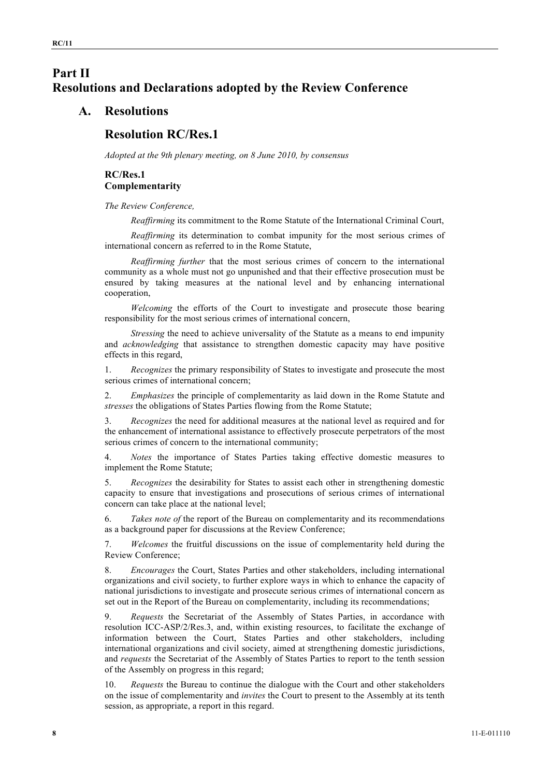# **Part II Resolutions and Declarations adopted by the Review Conference**

# **A. Resolutions**

# **Resolution RC/Res.1**

*Adopted at the 9th plenary meeting, on 8 June 2010, by consensus*

### **RC/Res.1 Complementarity**

*The Review Conference,*

*Reaffirming* its commitment to the Rome Statute of the International Criminal Court.

*Reaffirming* its determination to combat impunity for the most serious crimes of international concern as referred to in the Rome Statute,

*Reaffirming further* that the most serious crimes of concern to the international community as a whole must not go unpunished and that their effective prosecution must be ensured by taking measures at the national level and by enhancing international cooperation,

*Welcoming* the efforts of the Court to investigate and prosecute those bearing responsibility for the most serious crimes of international concern,

*Stressing* the need to achieve universality of the Statute as a means to end impunity and *acknowledging* that assistance to strengthen domestic capacity may have positive effects in this regard,

1. *Recognizes* the primary responsibility of States to investigate and prosecute the most serious crimes of international concern;

2. *Emphasizes* the principle of complementarity as laid down in the Rome Statute and *stresses* the obligations of States Parties flowing from the Rome Statute;

3. *Recognizes* the need for additional measures at the national level as required and for the enhancement of international assistance to effectively prosecute perpetrators of the most serious crimes of concern to the international community;

4. *Notes* the importance of States Parties taking effective domestic measures to implement the Rome Statute;

5. *Recognizes* the desirability for States to assist each other in strengthening domestic capacity to ensure that investigations and prosecutions of serious crimes of international concern can take place at the national level;

6. *Takes note of* the report of the Bureau on complementarity and its recommendations as a background paper for discussions at the Review Conference;

7. *Welcomes* the fruitful discussions on the issue of complementarity held during the Review Conference;

8. *Encourages* the Court, States Parties and other stakeholders, including international organizations and civil society, to further explore ways in which to enhance the capacity of national jurisdictions to investigate and prosecute serious crimes of international concern as set out in the Report of the Bureau on complementarity, including its recommendations;

9. *Requests* the Secretariat of the Assembly of States Parties, in accordance with resolution ICC-ASP/2/Res.3, and, within existing resources, to facilitate the exchange of information between the Court, States Parties and other stakeholders, including international organizations and civil society, aimed at strengthening domestic jurisdictions, and *requests* the Secretariat of the Assembly of States Parties to report to the tenth session of the Assembly on progress in this regard;

10. *Requests* the Bureau to continue the dialogue with the Court and other stakeholders on the issue of complementarity and *invites* the Court to present to the Assembly at its tenth session, as appropriate, a report in this regard.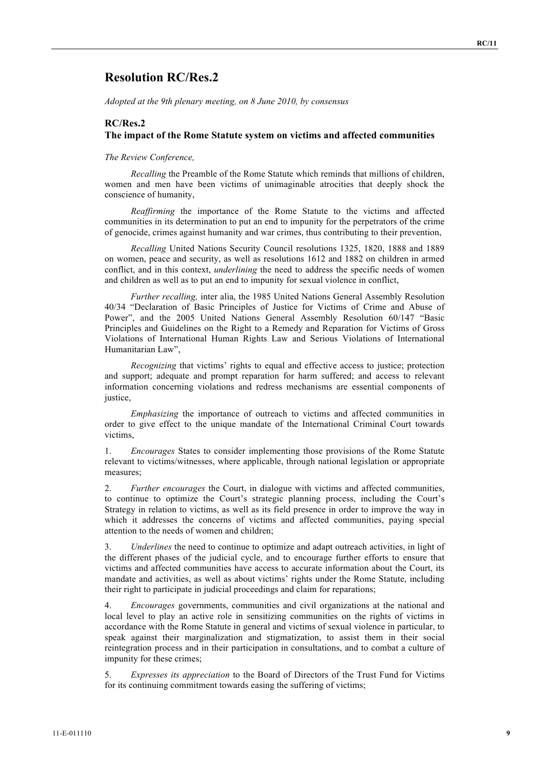# **Resolution RC/Res.2**

*Adopted at the 9th plenary meeting, on 8 June 2010, by consensus*

#### **RC/Res.2**

### **The impact of the Rome Statute system on victims and affected communities**

#### *The Review Conference,*

*Recalling* the Preamble of the Rome Statute which reminds that millions of children, women and men have been victims of unimaginable atrocities that deeply shock the conscience of humanity,

*Reaffirming* the importance of the Rome Statute to the victims and affected communities in its determination to put an end to impunity for the perpetrators of the crime of genocide, crimes against humanity and war crimes, thus contributing to their prevention,

*Recalling* United Nations Security Council resolutions 1325, 1820, 1888 and 1889 on women, peace and security, as well as resolutions 1612 and 1882 on children in armed conflict, and in this context, *underlining* the need to address the specific needs of women and children as well as to put an end to impunity for sexual violence in conflict,

*Further recalling,* inter alia, the 1985 United Nations General Assembly Resolution 40/34 "Declaration of Basic Principles of Justice for Victims of Crime and Abuse of Power", and the 2005 United Nations General Assembly Resolution 60/147 "Basic Principles and Guidelines on the Right to a Remedy and Reparation for Victims of Gross Violations of International Human Rights Law and Serious Violations of International Humanitarian Law",

*Recognizing* that victims' rights to equal and effective access to justice; protection and support; adequate and prompt reparation for harm suffered; and access to relevant information concerning violations and redress mechanisms are essential components of justice,

*Emphasizing* the importance of outreach to victims and affected communities in order to give effect to the unique mandate of the International Criminal Court towards victims,

1. *Encourages* States to consider implementing those provisions of the Rome Statute relevant to victims/witnesses, where applicable, through national legislation or appropriate measures;

2. *Further encourages* the Court, in dialogue with victims and affected communities, to continue to optimize the Court's strategic planning process, including the Court's Strategy in relation to victims, as well as its field presence in order to improve the way in which it addresses the concerns of victims and affected communities, paying special attention to the needs of women and children;

3. *Underlines* the need to continue to optimize and adapt outreach activities, in light of the different phases of the judicial cycle, and to encourage further efforts to ensure that victims and affected communities have access to accurate information about the Court, its mandate and activities, as well as about victims' rights under the Rome Statute, including their right to participate in judicial proceedings and claim for reparations;

4. *Encourages* governments, communities and civil organizations at the national and local level to play an active role in sensitizing communities on the rights of victims in accordance with the Rome Statute in general and victims of sexual violence in particular, to speak against their marginalization and stigmatization, to assist them in their social reintegration process and in their participation in consultations, and to combat a culture of impunity for these crimes;

5. *Expresses its appreciation* to the Board of Directors of the Trust Fund for Victims for its continuing commitment towards easing the suffering of victims;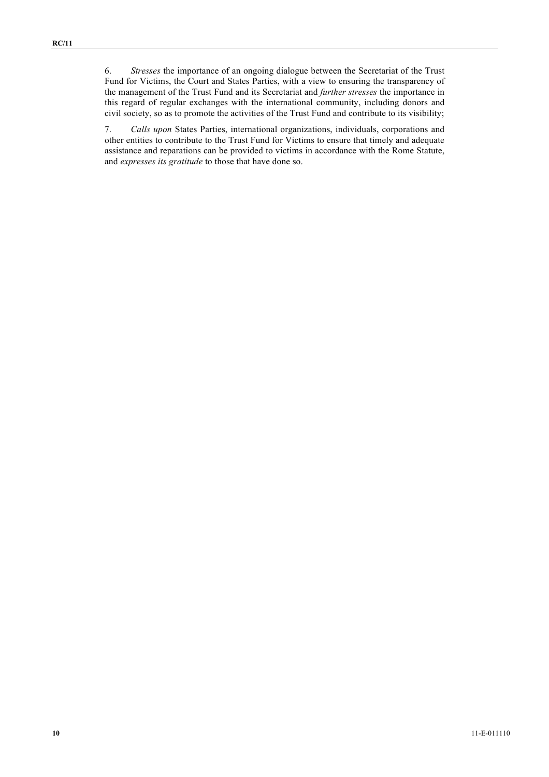6. *Stresses* the importance of an ongoing dialogue between the Secretariat of the Trust Fund for Victims, the Court and States Parties, with a view to ensuring the transparency of the management of the Trust Fund and its Secretariat and *further stresses* the importance in this regard of regular exchanges with the international community, including donors and civil society, so as to promote the activities of the Trust Fund and contribute to its visibility;

7. *Calls upon* States Parties, international organizations, individuals, corporations and other entities to contribute to the Trust Fund for Victims to ensure that timely and adequate assistance and reparations can be provided to victims in accordance with the Rome Statute, and *expresses its gratitude* to those that have done so.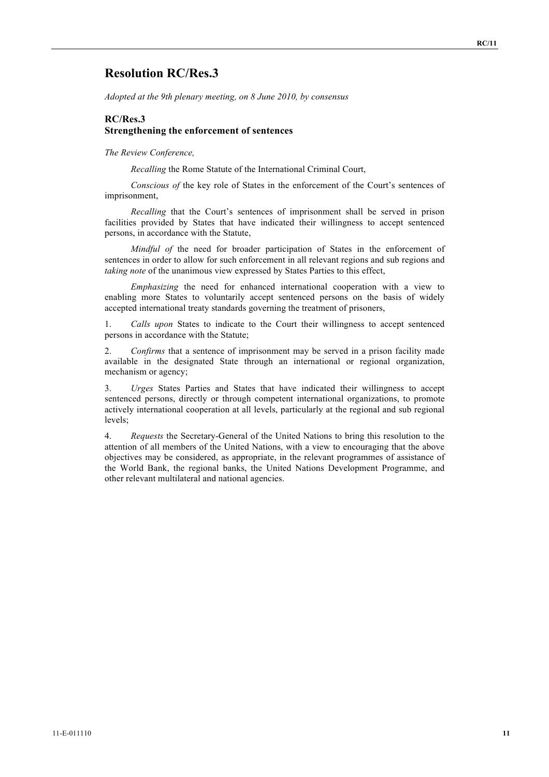### **Resolution RC/Res.3**

*Adopted at the 9th plenary meeting, on 8 June 2010, by consensus*

### **RC/Res.3**

### **Strengthening the enforcement of sentences**

*The Review Conference,*

*Recalling* the Rome Statute of the International Criminal Court,

*Conscious of* the key role of States in the enforcement of the Court's sentences of imprisonment,

*Recalling* that the Court's sentences of imprisonment shall be served in prison facilities provided by States that have indicated their willingness to accept sentenced persons, in accordance with the Statute,

*Mindful of* the need for broader participation of States in the enforcement of sentences in order to allow for such enforcement in all relevant regions and sub regions and *taking note* of the unanimous view expressed by States Parties to this effect,

*Emphasizing* the need for enhanced international cooperation with a view to enabling more States to voluntarily accept sentenced persons on the basis of widely accepted international treaty standards governing the treatment of prisoners,

1. *Calls upon* States to indicate to the Court their willingness to accept sentenced persons in accordance with the Statute;

2. *Confirms* that a sentence of imprisonment may be served in a prison facility made available in the designated State through an international or regional organization, mechanism or agency;

3. *Urges* States Parties and States that have indicated their willingness to accept sentenced persons, directly or through competent international organizations, to promote actively international cooperation at all levels, particularly at the regional and sub regional levels;

4. *Requests* the Secretary-General of the United Nations to bring this resolution to the attention of all members of the United Nations, with a view to encouraging that the above objectives may be considered, as appropriate, in the relevant programmes of assistance of the World Bank, the regional banks, the United Nations Development Programme, and other relevant multilateral and national agencies.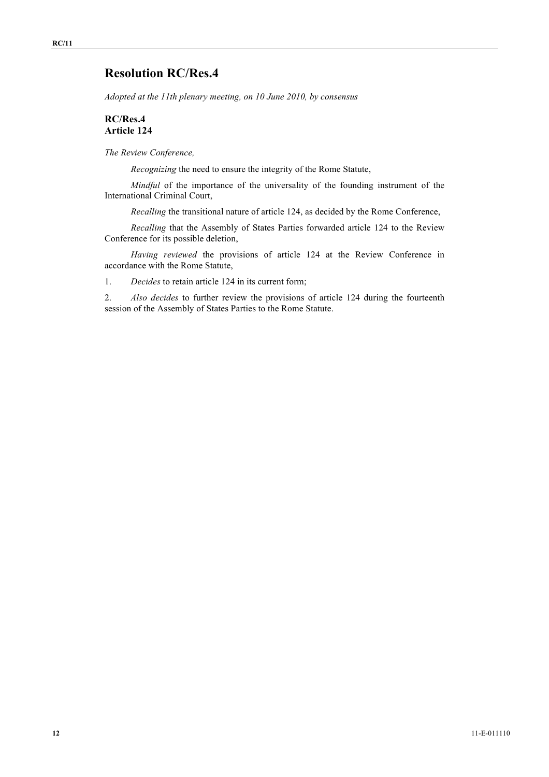*Adopted at the 11th plenary meeting, on 10 June 2010, by consensus*

### **RC/Res.4 Article 124**

*The Review Conference,*

*Recognizing* the need to ensure the integrity of the Rome Statute,

*Mindful* of the importance of the universality of the founding instrument of the International Criminal Court,

*Recalling* the transitional nature of article 124, as decided by the Rome Conference,

*Recalling* that the Assembly of States Parties forwarded article 124 to the Review Conference for its possible deletion,

*Having reviewed* the provisions of article 124 at the Review Conference in accordance with the Rome Statute,

1. *Decides* to retain article 124 in its current form;

2. *Also decides* to further review the provisions of article 124 during the fourteenth session of the Assembly of States Parties to the Rome Statute.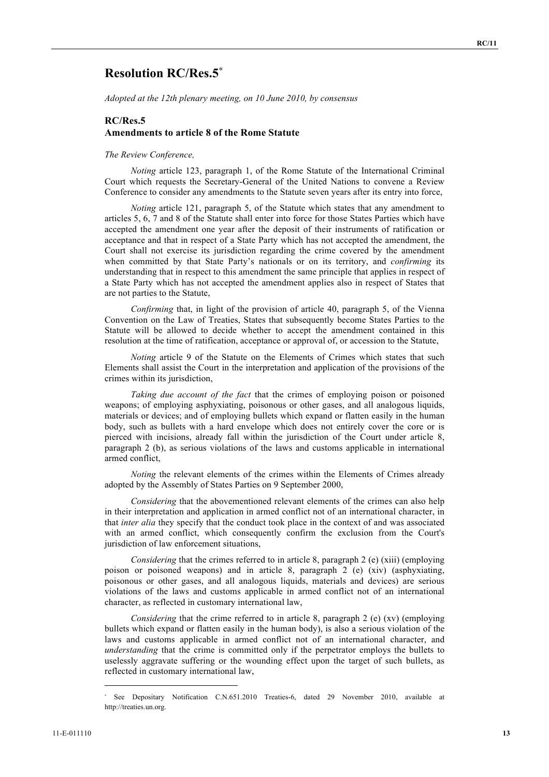# **Resolution RC/Res.5**!

*Adopted at the 12th plenary meeting, on 10 June 2010, by consensus*

### **RC/Res.5**

### **Amendments to article 8 of the Rome Statute**

#### *The Review Conference,*

*Noting* article 123, paragraph 1, of the Rome Statute of the International Criminal Court which requests the Secretary-General of the United Nations to convene a Review Conference to consider any amendments to the Statute seven years after its entry into force,

*Noting* article 121, paragraph 5, of the Statute which states that any amendment to articles 5, 6, 7 and 8 of the Statute shall enter into force for those States Parties which have accepted the amendment one year after the deposit of their instruments of ratification or acceptance and that in respect of a State Party which has not accepted the amendment, the Court shall not exercise its jurisdiction regarding the crime covered by the amendment when committed by that State Party's nationals or on its territory, and *confirming* its understanding that in respect to this amendment the same principle that applies in respect of a State Party which has not accepted the amendment applies also in respect of States that are not parties to the Statute,

*Confirming* that, in light of the provision of article 40, paragraph 5, of the Vienna Convention on the Law of Treaties, States that subsequently become States Parties to the Statute will be allowed to decide whether to accept the amendment contained in this resolution at the time of ratification, acceptance or approval of, or accession to the Statute,

*Noting* article 9 of the Statute on the Elements of Crimes which states that such Elements shall assist the Court in the interpretation and application of the provisions of the crimes within its jurisdiction,

*Taking due account of the fact* that the crimes of employing poison or poisoned weapons; of employing asphyxiating, poisonous or other gases, and all analogous liquids, materials or devices; and of employing bullets which expand or flatten easily in the human body, such as bullets with a hard envelope which does not entirely cover the core or is pierced with incisions, already fall within the jurisdiction of the Court under article 8, paragraph 2 (b), as serious violations of the laws and customs applicable in international armed conflict,

*Noting* the relevant elements of the crimes within the Elements of Crimes already adopted by the Assembly of States Parties on 9 September 2000,

*Considering* that the abovementioned relevant elements of the crimes can also help in their interpretation and application in armed conflict not of an international character, in that *inter alia* they specify that the conduct took place in the context of and was associated with an armed conflict, which consequently confirm the exclusion from the Court's jurisdiction of law enforcement situations,

*Considering* that the crimes referred to in article 8, paragraph 2 (e) (xiii) (employing poison or poisoned weapons) and in article 8, paragraph 2 (e) (xiv) (asphyxiating, poisonous or other gases, and all analogous liquids, materials and devices) are serious violations of the laws and customs applicable in armed conflict not of an international character, as reflected in customary international law,

*Considering* that the crime referred to in article 8, paragraph 2 (e) (xv) (employing bullets which expand or flatten easily in the human body), is also a serious violation of the laws and customs applicable in armed conflict not of an international character, and *understanding* that the crime is committed only if the perpetrator employs the bullets to uselessly aggravate suffering or the wounding effect upon the target of such bullets, as reflected in customary international law,

 $\overline{a}$ 

<sup>!</sup> See Depositary Notification C.N.651.2010 Treaties-6, dated 29 November 2010, available at http://treaties.un.org.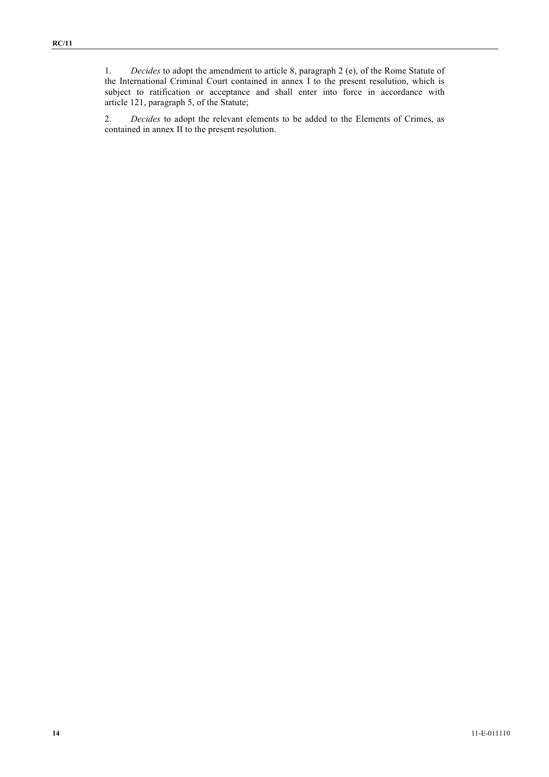1. *Decides* to adopt the amendment to article 8, paragraph 2 (e), of the Rome Statute of the International Criminal Court contained in annex I to the present resolution, which is subject to ratification or acceptance and shall enter into force in accordance with article 121, paragraph 5, of the Statute;

2. *Decides* to adopt the relevant elements to be added to the Elements of Crimes, as contained in annex II to the present resolution.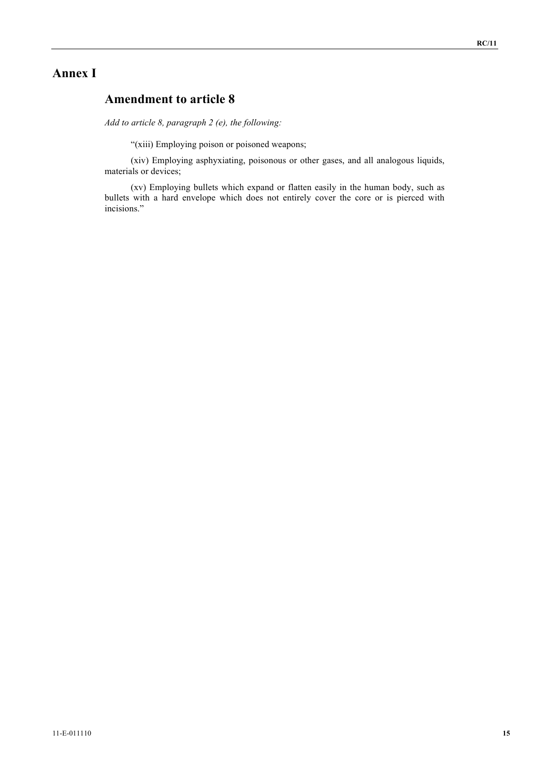# **Annex I**

# **Amendment to article 8**

*Add to article 8, paragraph 2 (e), the following:*

"(xiii) Employing poison or poisoned weapons;

(xiv) Employing asphyxiating, poisonous or other gases, and all analogous liquids, materials or devices;

(xv) Employing bullets which expand or flatten easily in the human body, such as bullets with a hard envelope which does not entirely cover the core or is pierced with incisions."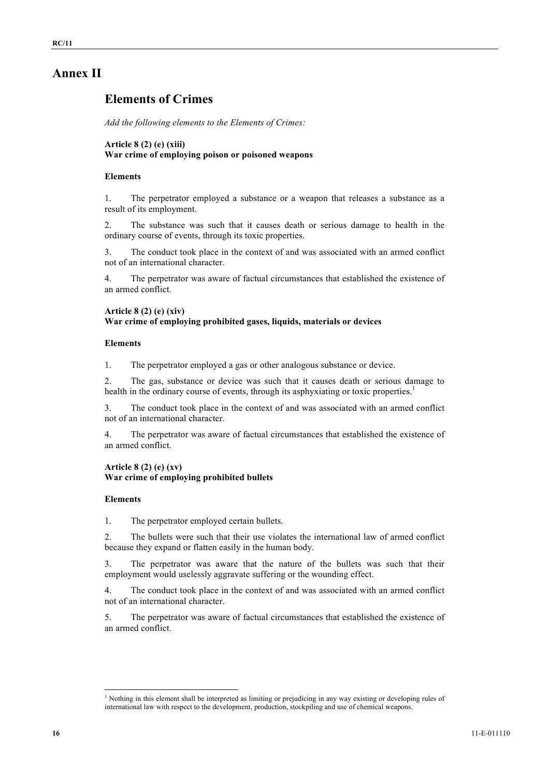# **Annex II**

# **Elements of Crimes**

*Add the following elements to the Elements of Crimes:*

#### **Article 8 (2) (e) (xiii) War crime of employing poison or poisoned weapons**

### **Elements**

1. The perpetrator employed a substance or a weapon that releases a substance as a result of its employment.

2. The substance was such that it causes death or serious damage to health in the ordinary course of events, through its toxic properties.

3. The conduct took place in the context of and was associated with an armed conflict not of an international character.

4. The perpetrator was aware of factual circumstances that established the existence of an armed conflict.

### **Article 8 (2) (e) (xiv) War crime of employing prohibited gases, liquids, materials or devices**

### **Elements**

1. The perpetrator employed a gas or other analogous substance or device.

2. The gas, substance or device was such that it causes death or serious damage to health in the ordinary course of events, through its asphyxiating or toxic properties.<sup>1</sup>

3. The conduct took place in the context of and was associated with an armed conflict not of an international character.

4. The perpetrator was aware of factual circumstances that established the existence of an armed conflict.

### **Article 8 (2) (e) (xv) War crime of employing prohibited bullets**

### **Elements**

1. The perpetrator employed certain bullets.

2. The bullets were such that their use violates the international law of armed conflict because they expand or flatten easily in the human body.

3. The perpetrator was aware that the nature of the bullets was such that their employment would uselessly aggravate suffering or the wounding effect.

4. The conduct took place in the context of and was associated with an armed conflict not of an international character.

5. The perpetrator was aware of factual circumstances that established the existence of an armed conflict.

<sup>&</sup>lt;sup>1</sup> Nothing in this element shall be interpreted as limiting or prejudicing in any way existing or developing rules of international law with respect to the development, production, stockpiling and use of chemical weapons.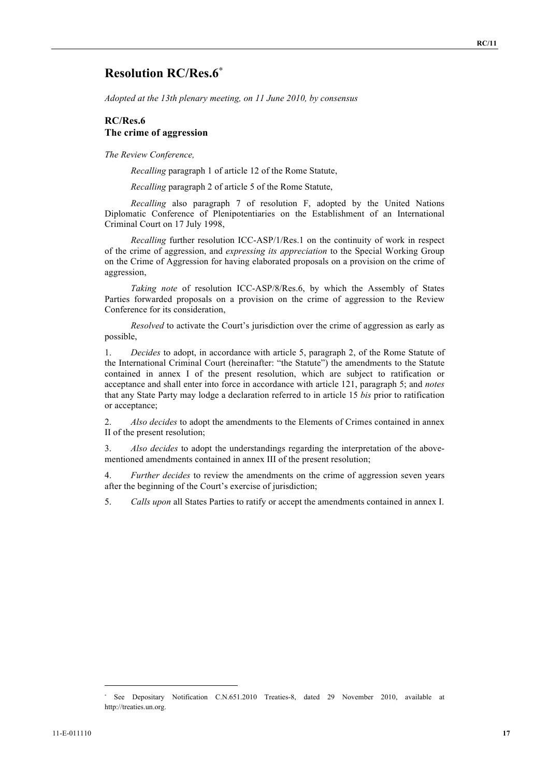# **Resolution RC/Res.6**!

*Adopted at the 13th plenary meeting, on 11 June 2010, by consensus*

### **RC/Res.6 The crime of aggression**

*The Review Conference,* 

*Recalling* paragraph 1 of article 12 of the Rome Statute,

*Recalling* paragraph 2 of article 5 of the Rome Statute,

*Recalling* also paragraph 7 of resolution F, adopted by the United Nations Diplomatic Conference of Plenipotentiaries on the Establishment of an International Criminal Court on 17 July 1998,

*Recalling* further resolution ICC-ASP/1/Res.1 on the continuity of work in respect of the crime of aggression, and *expressing its appreciation* to the Special Working Group on the Crime of Aggression for having elaborated proposals on a provision on the crime of aggression,

*Taking note* of resolution ICC-ASP/8/Res.6, by which the Assembly of States Parties forwarded proposals on a provision on the crime of aggression to the Review Conference for its consideration,

*Resolved* to activate the Court's jurisdiction over the crime of aggression as early as possible,

1. *Decides* to adopt, in accordance with article 5, paragraph 2, of the Rome Statute of the International Criminal Court (hereinafter: "the Statute") the amendments to the Statute contained in annex I of the present resolution, which are subject to ratification or acceptance and shall enter into force in accordance with article 121, paragraph 5; and *notes* that any State Party may lodge a declaration referred to in article 15 *bis* prior to ratification or acceptance;

2. *Also decides* to adopt the amendments to the Elements of Crimes contained in annex II of the present resolution;

3. *Also decides* to adopt the understandings regarding the interpretation of the abovementioned amendments contained in annex III of the present resolution;

4. *Further decides* to review the amendments on the crime of aggression seven years after the beginning of the Court's exercise of jurisdiction;

5. *Calls upon* all States Parties to ratify or accept the amendments contained in annex I.

 $\overline{a}$ 

<sup>!</sup> See Depositary Notification C.N.651.2010 Treaties-8, dated 29 November 2010, available at http://treaties.un.org.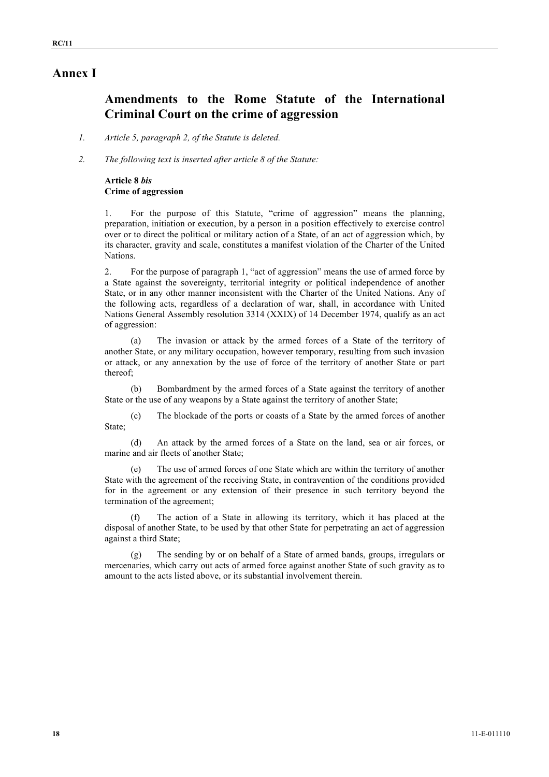# **Annex I**

# **Amendments to the Rome Statute of the International Criminal Court on the crime of aggression**

*1. Article 5, paragraph 2, of the Statute is deleted.* 

### *2. The following text is inserted after article 8 of the Statute:*

### **Article 8** *bis*  **Crime of aggression**

1. For the purpose of this Statute, "crime of aggression" means the planning, preparation, initiation or execution, by a person in a position effectively to exercise control over or to direct the political or military action of a State, of an act of aggression which, by its character, gravity and scale, constitutes a manifest violation of the Charter of the United Nations.

2. For the purpose of paragraph 1, "act of aggression" means the use of armed force by a State against the sovereignty, territorial integrity or political independence of another State, or in any other manner inconsistent with the Charter of the United Nations. Any of the following acts, regardless of a declaration of war, shall, in accordance with United Nations General Assembly resolution 3314 (XXIX) of 14 December 1974, qualify as an act of aggression:

(a) The invasion or attack by the armed forces of a State of the territory of another State, or any military occupation, however temporary, resulting from such invasion or attack, or any annexation by the use of force of the territory of another State or part thereof;

(b) Bombardment by the armed forces of a State against the territory of another State or the use of any weapons by a State against the territory of another State;

(c) The blockade of the ports or coasts of a State by the armed forces of another State;

(d) An attack by the armed forces of a State on the land, sea or air forces, or marine and air fleets of another State;

The use of armed forces of one State which are within the territory of another State with the agreement of the receiving State, in contravention of the conditions provided for in the agreement or any extension of their presence in such territory beyond the termination of the agreement;

The action of a State in allowing its territory, which it has placed at the disposal of another State, to be used by that other State for perpetrating an act of aggression against a third State;

(g) The sending by or on behalf of a State of armed bands, groups, irregulars or mercenaries, which carry out acts of armed force against another State of such gravity as to amount to the acts listed above, or its substantial involvement therein.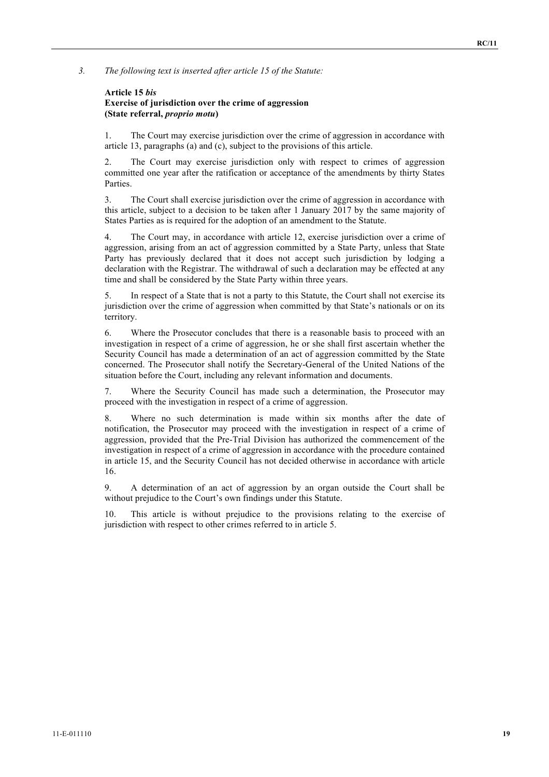*3. The following text is inserted after article 15 of the Statute:*

#### **Article 15** *bis*  **Exercise of jurisdiction over the crime of aggression (State referral,** *proprio motu***)**

1. The Court may exercise jurisdiction over the crime of aggression in accordance with article 13, paragraphs (a) and (c), subject to the provisions of this article.

2. The Court may exercise jurisdiction only with respect to crimes of aggression committed one year after the ratification or acceptance of the amendments by thirty States Parties.

3. The Court shall exercise jurisdiction over the crime of aggression in accordance with this article, subject to a decision to be taken after 1 January 2017 by the same majority of States Parties as is required for the adoption of an amendment to the Statute.

4. The Court may, in accordance with article 12, exercise jurisdiction over a crime of aggression, arising from an act of aggression committed by a State Party, unless that State Party has previously declared that it does not accept such jurisdiction by lodging a declaration with the Registrar. The withdrawal of such a declaration may be effected at any time and shall be considered by the State Party within three years.

5. In respect of a State that is not a party to this Statute, the Court shall not exercise its jurisdiction over the crime of aggression when committed by that State's nationals or on its territory.

6. Where the Prosecutor concludes that there is a reasonable basis to proceed with an investigation in respect of a crime of aggression, he or she shall first ascertain whether the Security Council has made a determination of an act of aggression committed by the State concerned. The Prosecutor shall notify the Secretary-General of the United Nations of the situation before the Court, including any relevant information and documents.

7. Where the Security Council has made such a determination, the Prosecutor may proceed with the investigation in respect of a crime of aggression.

8. Where no such determination is made within six months after the date of notification, the Prosecutor may proceed with the investigation in respect of a crime of aggression, provided that the Pre-Trial Division has authorized the commencement of the investigation in respect of a crime of aggression in accordance with the procedure contained in article 15, and the Security Council has not decided otherwise in accordance with article 16.

9. A determination of an act of aggression by an organ outside the Court shall be without prejudice to the Court's own findings under this Statute.

10. This article is without prejudice to the provisions relating to the exercise of jurisdiction with respect to other crimes referred to in article 5.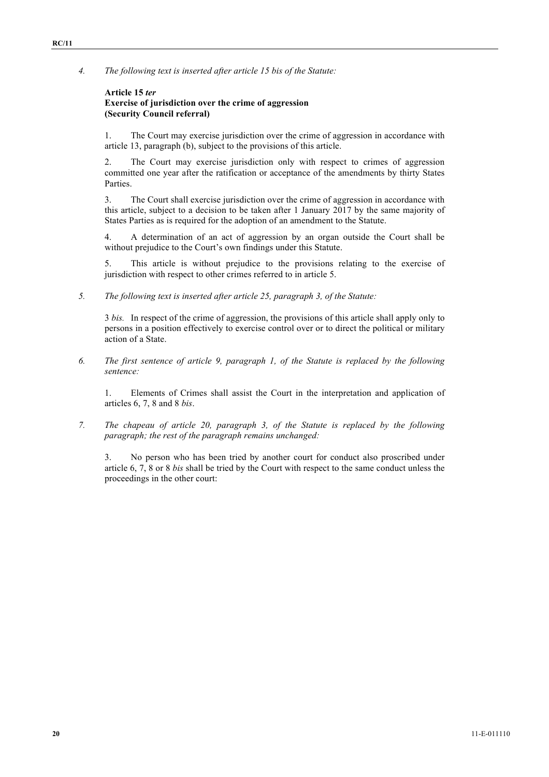*4. The following text is inserted after article 15 bis of the Statute:*

### **Article 15** *ter*  **Exercise of jurisdiction over the crime of aggression (Security Council referral)**

1. The Court may exercise jurisdiction over the crime of aggression in accordance with article 13, paragraph (b), subject to the provisions of this article.

2. The Court may exercise jurisdiction only with respect to crimes of aggression committed one year after the ratification or acceptance of the amendments by thirty States Parties.

3. The Court shall exercise jurisdiction over the crime of aggression in accordance with this article, subject to a decision to be taken after 1 January 2017 by the same majority of States Parties as is required for the adoption of an amendment to the Statute.

4. A determination of an act of aggression by an organ outside the Court shall be without prejudice to the Court's own findings under this Statute.

5. This article is without prejudice to the provisions relating to the exercise of jurisdiction with respect to other crimes referred to in article 5.

*5. The following text is inserted after article 25, paragraph 3, of the Statute:*

3 *bis.* In respect of the crime of aggression, the provisions of this article shall apply only to persons in a position effectively to exercise control over or to direct the political or military action of a State.

*6. The first sentence of article 9, paragraph 1, of the Statute is replaced by the following sentence:*

1. Elements of Crimes shall assist the Court in the interpretation and application of articles 6, 7, 8 and 8 *bis*.

*7. The chapeau of article 20, paragraph 3, of the Statute is replaced by the following paragraph; the rest of the paragraph remains unchanged:*

3. No person who has been tried by another court for conduct also proscribed under article 6, 7, 8 or 8 *bis* shall be tried by the Court with respect to the same conduct unless the proceedings in the other court: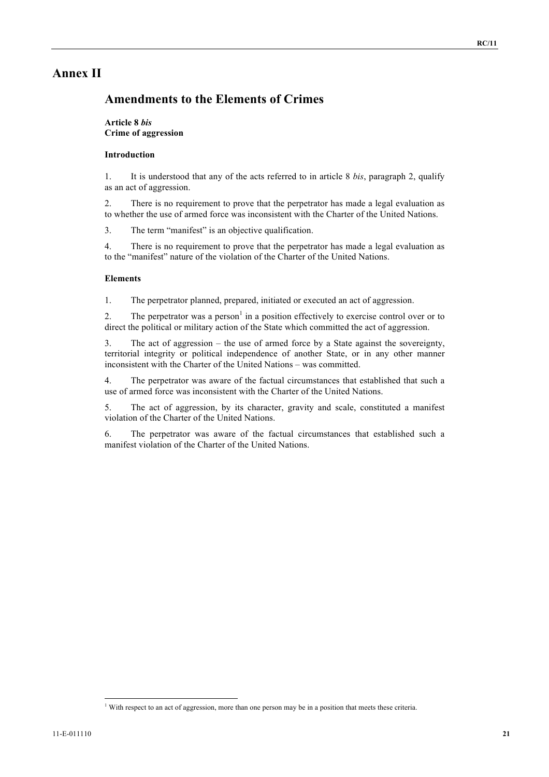### **Annex II**

# **Amendments to the Elements of Crimes**

**Article 8** *bis*  **Crime of aggression**

#### **Introduction**

1. It is understood that any of the acts referred to in article 8 *bis*, paragraph 2, qualify as an act of aggression.

2. There is no requirement to prove that the perpetrator has made a legal evaluation as to whether the use of armed force was inconsistent with the Charter of the United Nations.

3. The term "manifest" is an objective qualification.

4. There is no requirement to prove that the perpetrator has made a legal evaluation as to the "manifest" nature of the violation of the Charter of the United Nations.

### **Elements**

1. The perpetrator planned, prepared, initiated or executed an act of aggression.

2. The perpetrator was a person<sup>1</sup> in a position effectively to exercise control over or to direct the political or military action of the State which committed the act of aggression.

3. The act of aggression – the use of armed force by a State against the sovereignty, territorial integrity or political independence of another State, or in any other manner inconsistent with the Charter of the United Nations – was committed.

4. The perpetrator was aware of the factual circumstances that established that such a use of armed force was inconsistent with the Charter of the United Nations.

5. The act of aggression, by its character, gravity and scale, constituted a manifest violation of the Charter of the United Nations.

6. The perpetrator was aware of the factual circumstances that established such a manifest violation of the Charter of the United Nations.

<sup>&</sup>lt;sup>1</sup> With respect to an act of aggression, more than one person may be in a position that meets these criteria.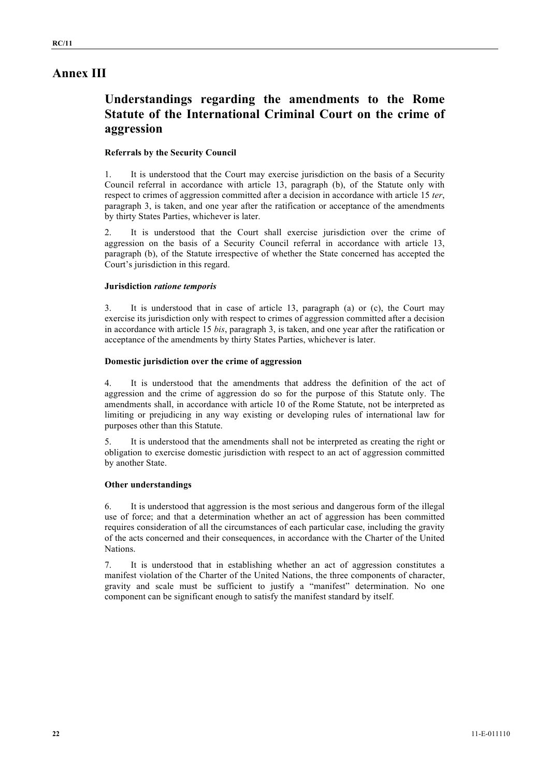### **Annex III**

# **Understandings regarding the amendments to the Rome Statute of the International Criminal Court on the crime of aggression**

### **Referrals by the Security Council**

1. It is understood that the Court may exercise jurisdiction on the basis of a Security Council referral in accordance with article 13, paragraph (b), of the Statute only with respect to crimes of aggression committed after a decision in accordance with article 15 *ter*, paragraph 3, is taken, and one year after the ratification or acceptance of the amendments by thirty States Parties, whichever is later.

2. It is understood that the Court shall exercise jurisdiction over the crime of aggression on the basis of a Security Council referral in accordance with article 13, paragraph (b), of the Statute irrespective of whether the State concerned has accepted the Court's jurisdiction in this regard.

### **Jurisdiction** *ratione temporis*

3. It is understood that in case of article 13, paragraph (a) or (c), the Court may exercise its jurisdiction only with respect to crimes of aggression committed after a decision in accordance with article 15 *bis*, paragraph 3, is taken, and one year after the ratification or acceptance of the amendments by thirty States Parties, whichever is later.

### **Domestic jurisdiction over the crime of aggression**

4. It is understood that the amendments that address the definition of the act of aggression and the crime of aggression do so for the purpose of this Statute only. The amendments shall, in accordance with article 10 of the Rome Statute, not be interpreted as limiting or prejudicing in any way existing or developing rules of international law for purposes other than this Statute.

5. It is understood that the amendments shall not be interpreted as creating the right or obligation to exercise domestic jurisdiction with respect to an act of aggression committed by another State.

### **Other understandings**

6. It is understood that aggression is the most serious and dangerous form of the illegal use of force; and that a determination whether an act of aggression has been committed requires consideration of all the circumstances of each particular case, including the gravity of the acts concerned and their consequences, in accordance with the Charter of the United **Nations** 

7. It is understood that in establishing whether an act of aggression constitutes a manifest violation of the Charter of the United Nations, the three components of character, gravity and scale must be sufficient to justify a "manifest" determination. No one component can be significant enough to satisfy the manifest standard by itself.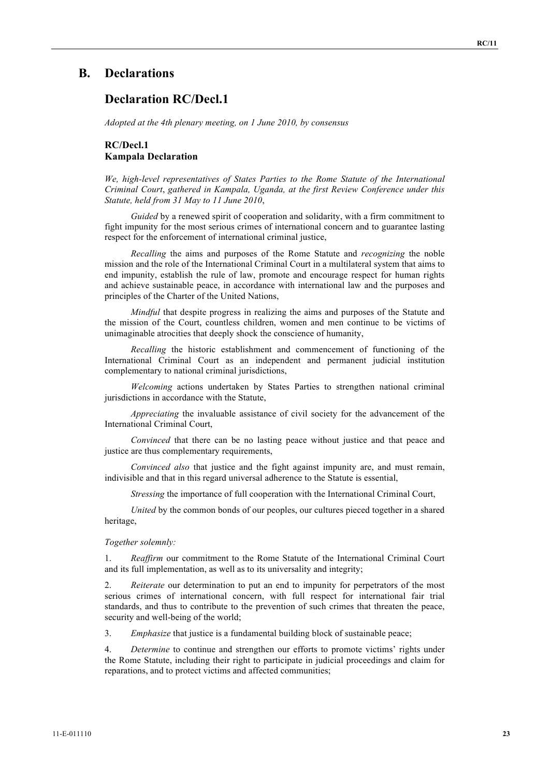### **B. Declarations**

### **Declaration RC/Decl.1**

*Adopted at the 4th plenary meeting, on 1 June 2010, by consensus*

### **RC/Decl.1 Kampala Declaration**

*We, high-level representatives of States Parties to the Rome Statute of the International Criminal Court*, *gathered in Kampala, Uganda, at the first Review Conference under this Statute, held from 31 May to 11 June 2010*,

*Guided* by a renewed spirit of cooperation and solidarity, with a firm commitment to fight impunity for the most serious crimes of international concern and to guarantee lasting respect for the enforcement of international criminal justice,

*Recalling* the aims and purposes of the Rome Statute and *recognizing* the noble mission and the role of the International Criminal Court in a multilateral system that aims to end impunity, establish the rule of law, promote and encourage respect for human rights and achieve sustainable peace, in accordance with international law and the purposes and principles of the Charter of the United Nations,

*Mindful* that despite progress in realizing the aims and purposes of the Statute and the mission of the Court, countless children, women and men continue to be victims of unimaginable atrocities that deeply shock the conscience of humanity,

*Recalling* the historic establishment and commencement of functioning of the International Criminal Court as an independent and permanent judicial institution complementary to national criminal jurisdictions,

*Welcoming* actions undertaken by States Parties to strengthen national criminal jurisdictions in accordance with the Statute,

*Appreciating* the invaluable assistance of civil society for the advancement of the International Criminal Court,

*Convinced* that there can be no lasting peace without justice and that peace and justice are thus complementary requirements,

*Convinced also* that justice and the fight against impunity are, and must remain, indivisible and that in this regard universal adherence to the Statute is essential,

*Stressing* the importance of full cooperation with the International Criminal Court,

*United* by the common bonds of our peoples, our cultures pieced together in a shared heritage,

#### *Together solemnly:*

1. *Reaffirm* our commitment to the Rome Statute of the International Criminal Court and its full implementation, as well as to its universality and integrity;

2. *Reiterate* our determination to put an end to impunity for perpetrators of the most serious crimes of international concern, with full respect for international fair trial standards, and thus to contribute to the prevention of such crimes that threaten the peace, security and well-being of the world;

3. *Emphasize* that justice is a fundamental building block of sustainable peace;

4. *Determine* to continue and strengthen our efforts to promote victims' rights under the Rome Statute, including their right to participate in judicial proceedings and claim for reparations, and to protect victims and affected communities;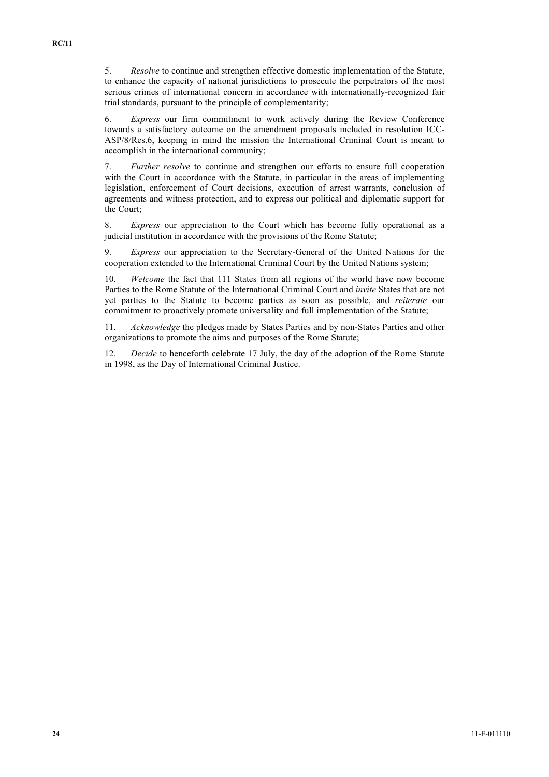5. *Resolve* to continue and strengthen effective domestic implementation of the Statute, to enhance the capacity of national jurisdictions to prosecute the perpetrators of the most serious crimes of international concern in accordance with internationally-recognized fair trial standards, pursuant to the principle of complementarity;

6. *Express* our firm commitment to work actively during the Review Conference towards a satisfactory outcome on the amendment proposals included in resolution ICC-ASP/8/Res.6, keeping in mind the mission the International Criminal Court is meant to accomplish in the international community;

7. *Further resolve* to continue and strengthen our efforts to ensure full cooperation with the Court in accordance with the Statute, in particular in the areas of implementing legislation, enforcement of Court decisions, execution of arrest warrants, conclusion of agreements and witness protection, and to express our political and diplomatic support for the Court;

8. *Express* our appreciation to the Court which has become fully operational as a judicial institution in accordance with the provisions of the Rome Statute;

9. *Express* our appreciation to the Secretary-General of the United Nations for the cooperation extended to the International Criminal Court by the United Nations system;

10. *Welcome* the fact that 111 States from all regions of the world have now become Parties to the Rome Statute of the International Criminal Court and *invite* States that are not yet parties to the Statute to become parties as soon as possible, and *reiterate* our commitment to proactively promote universality and full implementation of the Statute;

11. *Acknowledge* the pledges made by States Parties and by non-States Parties and other organizations to promote the aims and purposes of the Rome Statute;

12. *Decide* to henceforth celebrate 17 July, the day of the adoption of the Rome Statute in 1998, as the Day of International Criminal Justice.